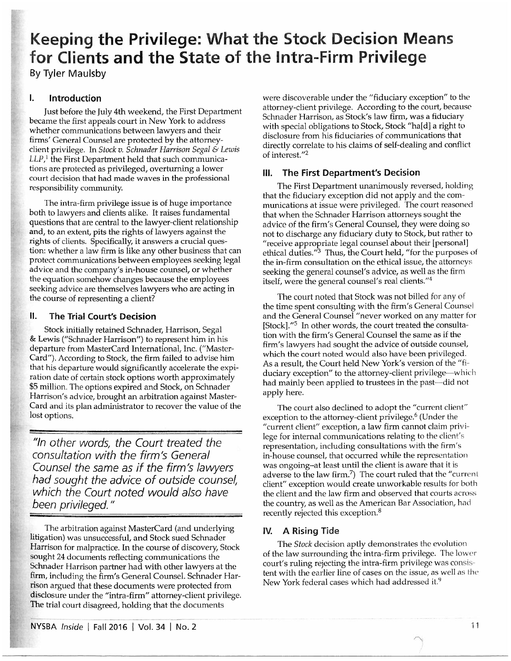# Keeping the Privilege: What the Stock Decision Means for Clients and the State of the Intra-Firm Privilege

By Tyler Maulsby

#### Introduction Ι.

Just before the July 4th weekend, the First Department became the first appeals court in New York to address whether communications between lawyers and their firms' General Counsel are protected by the attorneyclient privilege. In Stock v. Schnader Harrison Segal & Lewis LLP,<sup>1</sup> the First Department held that such communications are protected as privileged, overturning a lower court decision that had made waves in the professional responsibility community.

The intra-firm privilege issue is of huge importance both to lawyers and clients alike. It raises fundamental questions that are central to the lawyer-client relationship and, to an extent, pits the rights of lawyers against the rights of clients. Specifically, it answers a crucial question: whether a law firm is like any other business that can protect communications between employees seeking legal advice and the company's in-house counsel, or whether the equation somehow changes because the employees seeking advice are themselves lawyers who are acting in the course of representing a client?

#### 11. **The Trial Court's Decision**

Stock initially retained Schnader, Harrison, Segal & Lewis ("Schnader Harrison") to represent him in his departure from MasterCard International, Inc. ("Master-Card"). According to Stock, the firm failed to advise him that his departure would significantly accelerate the expiration date of certain stock options worth approximately \$5 million. The options expired and Stock, on Schnader Harrison's advice, brought an arbitration against Master-Card and its plan administrator to recover the value of the lost options.

"In other words, the Court treated the consultation with the firm's General Counsel the same as if the firm's lawyers had sought the advice of outside counsel, which the Court noted would also have been privileged."

The arbitration against MasterCard (and underlying litigation) was unsuccessful, and Stock sued Schnader Harrison for malpractice. In the course of discovery, Stock sought 24 documents reflecting communications the Schnader Harrison partner had with other lawyers at the firm, including the firm's General Counsel. Schnader Harrison argued that these documents were protected from disclosure under the "intra-firm" attorney-client privilege. The trial court disagreed, holding that the documents

were discoverable under the "fiduciary exception" to the attorney-client privilege. According to the court, because Schnader Harrison, as Stock's law firm, was a fiduciary with special obligations to Stock, Stock "ha[d] a right to disclosure from his fiduciaries of communications that directly correlate to his claims of self-dealing and conflict of interest."<sup>2</sup>

# III. The First Department's Decision

The First Department unanimously reversed, holding that the fiduciary exception did not apply and the communications at issue were privileged. The court reasoned that when the Schnader Harrison attorneys sought the advice of the firm's General Counsel, they were doing so not to discharge any fiduciary duty to Stock, but rather to "receive appropriate legal counsel about their [personal] ethical duties."<sup>3</sup> Thus, the Court held, "for the purposes of the in-firm consultation on the ethical issue, the attorneys seeking the general counsel's advice, as well as the firm itself, were the general counsel's real clients."4

The court noted that Stock was not billed for any of the time spent consulting with the firm's General Counsel and the General Counsel "never worked on any matter for [Stock]."<sup>5</sup> In other words, the court treated the consultation with the firm's General Counsel the same as if the firm's lawyers had sought the advice of outside counsel, which the court noted would also have been privileged. As a result, the Court held New York's version of the "fiduciary exception" to the attorney-client privilege—which had mainly been applied to trustees in the past-did not apply here.

The court also declined to adopt the "current client" exception to the attorney-client privilege.<sup>6</sup> (Under the "current client" exception, a law firm cannot claim privilege for internal communications relating to the client's representation, including consultations with the firm's in-house counsel, that occurred while the representation was ongoing-at least until the client is aware that it is adverse to the law firm.<sup>7</sup>) The court ruled that the "current" client" exception would create unworkable results for both the client and the law firm and observed that courts across the country, as well as the American Bar Association, had recently rejected this exception.<sup>8</sup>

## **IV.** A Rising Tide

The *Stock* decision aptly demonstrates the evolution of the law surrounding the intra-firm privilege. The lower court's ruling rejecting the intra-firm privilege was consistent with the earlier line of cases on the issue, as well as the New York federal cases which had addressed it.<sup>9</sup>